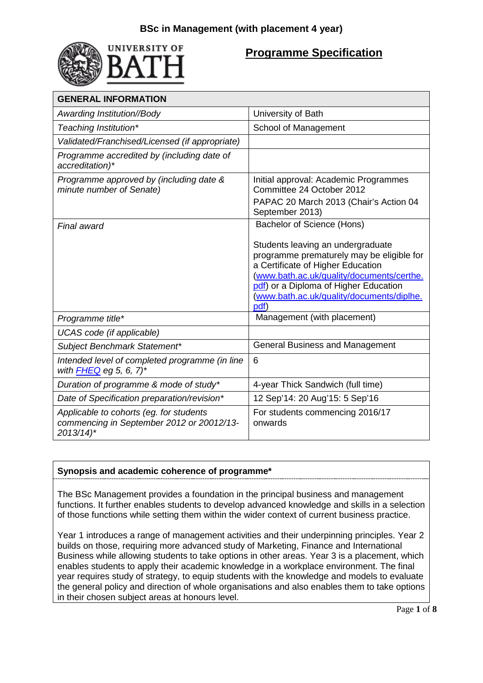

# **Programme Specification**

| <b>GENERAL INFORMATION</b>                                                                                     |                                                                                                                                                                                                                                                                                              |
|----------------------------------------------------------------------------------------------------------------|----------------------------------------------------------------------------------------------------------------------------------------------------------------------------------------------------------------------------------------------------------------------------------------------|
| Awarding Institution//Body                                                                                     | University of Bath                                                                                                                                                                                                                                                                           |
| Teaching Institution*                                                                                          | School of Management                                                                                                                                                                                                                                                                         |
| Validated/Franchised/Licensed (if appropriate)                                                                 |                                                                                                                                                                                                                                                                                              |
| Programme accredited by (including date of<br>accreditation)*                                                  |                                                                                                                                                                                                                                                                                              |
| Programme approved by (including date &<br>minute number of Senate)                                            | Initial approval: Academic Programmes<br>Committee 24 October 2012<br>PAPAC 20 March 2013 (Chair's Action 04<br>September 2013)                                                                                                                                                              |
| <b>Final award</b>                                                                                             | Bachelor of Science (Hons)<br>Students leaving an undergraduate<br>programme prematurely may be eligible for<br>a Certificate of Higher Education<br>(www.bath.ac.uk/quality/documents/certhe.<br>pdf) or a Diploma of Higher Education<br>(www.bath.ac.uk/quality/documents/diplhe.<br>pdf) |
| Programme title*                                                                                               | Management (with placement)                                                                                                                                                                                                                                                                  |
| UCAS code (if applicable)                                                                                      |                                                                                                                                                                                                                                                                                              |
| Subject Benchmark Statement*                                                                                   | <b>General Business and Management</b>                                                                                                                                                                                                                                                       |
| Intended level of completed programme (in line<br>with $FHEQ$ eg 5, 6, 7)*                                     | 6                                                                                                                                                                                                                                                                                            |
| Duration of programme & mode of study*                                                                         | 4-year Thick Sandwich (full time)                                                                                                                                                                                                                                                            |
| Date of Specification preparation/revision*                                                                    | 12 Sep'14: 20 Aug'15: 5 Sep'16                                                                                                                                                                                                                                                               |
| Applicable to cohorts (eg. for students<br>commencing in September 2012 or 20012/13-<br>$2013/14$ <sup>*</sup> | For students commencing 2016/17<br>onwards                                                                                                                                                                                                                                                   |

## **Synopsis and academic coherence of programme\***

The BSc Management provides a foundation in the principal business and management functions. It further enables students to develop advanced knowledge and skills in a selection of those functions while setting them within the wider context of current business practice.

Year 1 introduces a range of management activities and their underpinning principles. Year 2 builds on those, requiring more advanced study of Marketing, Finance and International Business while allowing students to take options in other areas. Year 3 is a placement, which enables students to apply their academic knowledge in a workplace environment. The final year requires study of strategy, to equip students with the knowledge and models to evaluate the general policy and direction of whole organisations and also enables them to take options in their chosen subject areas at honours level.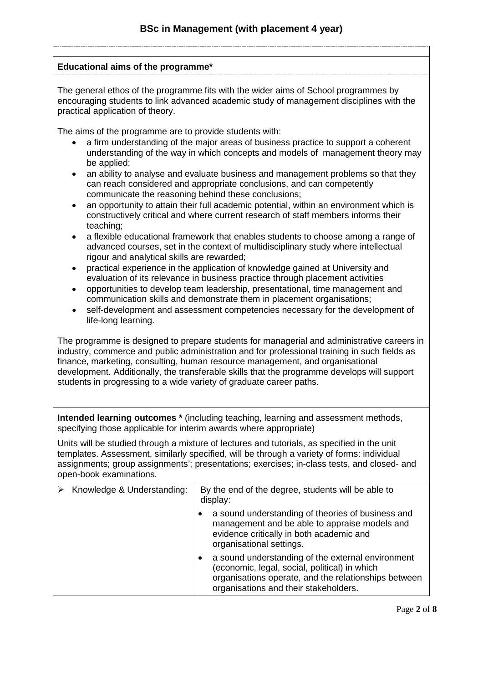### **Educational aims of the programme\***

The general ethos of the programme fits with the wider aims of School programmes by encouraging students to link advanced academic study of management disciplines with the practical application of theory.

The aims of the programme are to provide students with:

- a firm understanding of the major areas of business practice to support a coherent understanding of the way in which concepts and models of management theory may be applied;
- an ability to analyse and evaluate business and management problems so that they can reach considered and appropriate conclusions, and can competently communicate the reasoning behind these conclusions;
- an opportunity to attain their full academic potential, within an environment which is constructively critical and where current research of staff members informs their teaching;
- a flexible educational framework that enables students to choose among a range of advanced courses, set in the context of multidisciplinary study where intellectual rigour and analytical skills are rewarded;
- practical experience in the application of knowledge gained at University and evaluation of its relevance in business practice through placement activities
- opportunities to develop team leadership, presentational, time management and communication skills and demonstrate them in placement organisations;
- self-development and assessment competencies necessary for the development of life-long learning.

The programme is designed to prepare students for managerial and administrative careers in industry, commerce and public administration and for professional training in such fields as finance, marketing, consulting, human resource management, and organisational development. Additionally, the transferable skills that the programme develops will support students in progressing to a wide variety of graduate career paths.

**Intended learning outcomes \*** (including teaching, learning and assessment methods, specifying those applicable for interim awards where appropriate)

Units will be studied through a mixture of lectures and tutorials, as specified in the unit templates. Assessment, similarly specified, will be through a variety of forms: individual assignments; group assignments'; presentations; exercises; in-class tests, and closed- and open-book examinations.

| Knowledge & Understanding: | By the end of the degree, students will be able to<br>display: |                                                                                                                                                                                                     |
|----------------------------|----------------------------------------------------------------|-----------------------------------------------------------------------------------------------------------------------------------------------------------------------------------------------------|
|                            |                                                                | a sound understanding of theories of business and<br>management and be able to appraise models and<br>evidence critically in both academic and<br>organisational settings.                          |
|                            |                                                                | a sound understanding of the external environment<br>(economic, legal, social, political) in which<br>organisations operate, and the relationships between<br>organisations and their stakeholders. |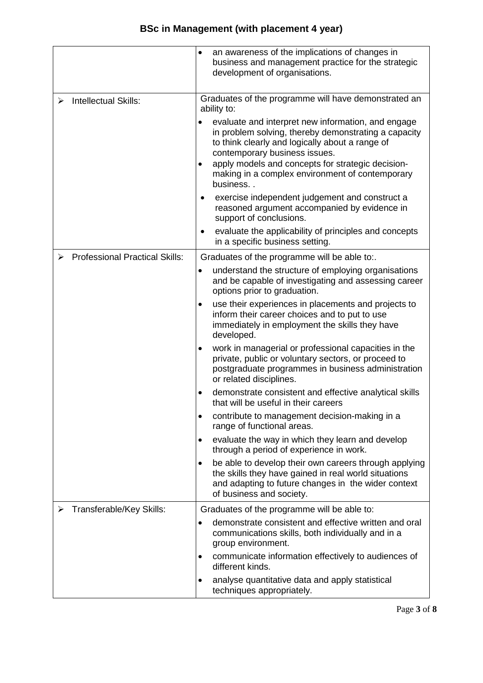|                                            | an awareness of the implications of changes in<br>٠<br>business and management practice for the strategic<br>development of organisations.                                                                                                                                                                              |  |
|--------------------------------------------|-------------------------------------------------------------------------------------------------------------------------------------------------------------------------------------------------------------------------------------------------------------------------------------------------------------------------|--|
| <b>Intellectual Skills:</b><br>➤           | Graduates of the programme will have demonstrated an<br>ability to:                                                                                                                                                                                                                                                     |  |
|                                            | evaluate and interpret new information, and engage<br>in problem solving, thereby demonstrating a capacity<br>to think clearly and logically about a range of<br>contemporary business issues.<br>apply models and concepts for strategic decision-<br>٠<br>making in a complex environment of contemporary<br>business |  |
|                                            | exercise independent judgement and construct a<br>reasoned argument accompanied by evidence in<br>support of conclusions.                                                                                                                                                                                               |  |
|                                            | evaluate the applicability of principles and concepts<br>in a specific business setting.                                                                                                                                                                                                                                |  |
| <b>Professional Practical Skills:</b><br>⋗ | Graduates of the programme will be able to:.                                                                                                                                                                                                                                                                            |  |
|                                            | understand the structure of employing organisations<br>٠<br>and be capable of investigating and assessing career<br>options prior to graduation.                                                                                                                                                                        |  |
|                                            | use their experiences in placements and projects to<br>٠<br>inform their career choices and to put to use<br>immediately in employment the skills they have<br>developed.                                                                                                                                               |  |
|                                            | work in managerial or professional capacities in the<br>٠<br>private, public or voluntary sectors, or proceed to<br>postgraduate programmes in business administration<br>or related disciplines.                                                                                                                       |  |
|                                            | demonstrate consistent and effective analytical skills<br>$\bullet$<br>that will be useful in their careers                                                                                                                                                                                                             |  |
|                                            | contribute to management decision-making in a<br>٠<br>range of functional areas.                                                                                                                                                                                                                                        |  |
|                                            | evaluate the way in which they learn and develop<br>٠<br>through a period of experience in work.                                                                                                                                                                                                                        |  |
|                                            | be able to develop their own careers through applying<br>$\bullet$<br>the skills they have gained in real world situations<br>and adapting to future changes in the wider context<br>of business and society.                                                                                                           |  |
| Transferable/Key Skills:                   | Graduates of the programme will be able to:                                                                                                                                                                                                                                                                             |  |
|                                            | demonstrate consistent and effective written and oral<br>communications skills, both individually and in a<br>group environment.                                                                                                                                                                                        |  |
|                                            | communicate information effectively to audiences of<br>٠<br>different kinds.                                                                                                                                                                                                                                            |  |
|                                            | analyse quantitative data and apply statistical<br>$\bullet$<br>techniques appropriately.                                                                                                                                                                                                                               |  |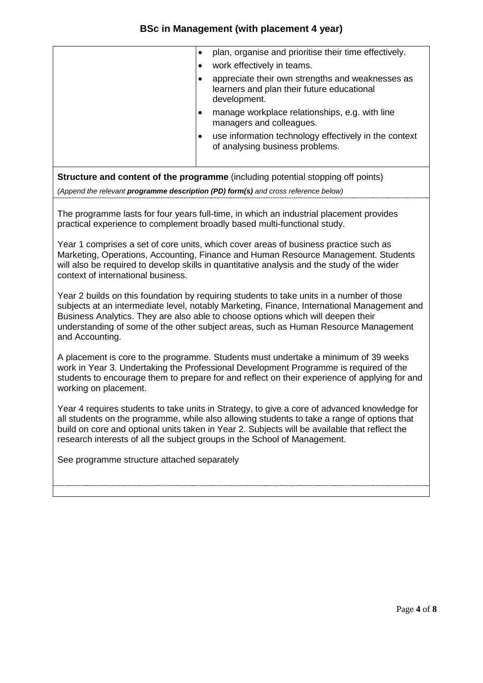## **BSc in Management (with placement 4 year)**

| plan, organise and prioritise their time effectively.                                                          |
|----------------------------------------------------------------------------------------------------------------|
| work effectively in teams.                                                                                     |
| appreciate their own strengths and weaknesses as<br>learners and plan their future educational<br>development. |
| manage workplace relationships, e.g. with line<br>managers and colleagues.                                     |
| use information technology effectively in the context<br>of analysing business problems.                       |
|                                                                                                                |
|                                                                                                                |

**Structure and content of the programme** (including potential stopping off points)

*(Append the relevant programme description (PD) form(s) and cross reference below)*

The programme lasts for four years full-time, in which an industrial placement provides practical experience to complement broadly based multi-functional study.

Year 1 comprises a set of core units, which cover areas of business practice such as Marketing, Operations, Accounting, Finance and Human Resource Management. Students will also be required to develop skills in quantitative analysis and the study of the wider context of international business.

Year 2 builds on this foundation by requiring students to take units in a number of those subjects at an intermediate level, notably Marketing, Finance, International Management and Business Analytics. They are also able to choose options which will deepen their understanding of some of the other subject areas, such as Human Resource Management and Accounting.

A placement is core to the programme. Students must undertake a minimum of 39 weeks work in Year 3. Undertaking the Professional Development Programme is required of the students to encourage them to prepare for and reflect on their experience of applying for and working on placement.

Year 4 requires students to take units in Strategy, to give a core of advanced knowledge for all students on the programme, while also allowing students to take a range of options that build on core and optional units taken in Year 2. Subjects will be available that reflect the research interests of all the subject groups in the School of Management.

See programme structure attached separately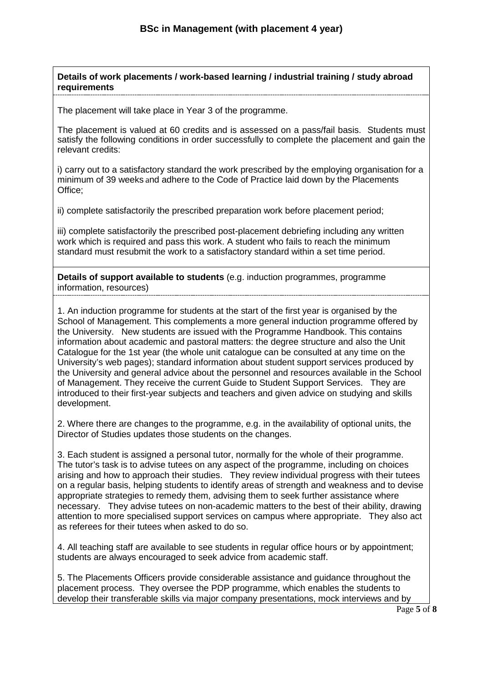**Details of work placements / work-based learning / industrial training / study abroad requirements**

The placement will take place in Year 3 of the programme.

The placement is valued at 60 credits and is assessed on a pass/fail basis. Students must satisfy the following conditions in order successfully to complete the placement and gain the relevant credits:

i) carry out to a satisfactory standard the work prescribed by the employing organisation for a minimum of 39 weeks and adhere to the Code of Practice laid down by the Placements Office;

ii) complete satisfactorily the prescribed preparation work before placement period;

iii) complete satisfactorily the prescribed post-placement debriefing including any written work which is required and pass this work. A student who fails to reach the minimum standard must resubmit the work to a satisfactory standard within a set time period.

**Details of support available to students** (e.g. induction programmes, programme information, resources)

1. An induction programme for students at the start of the first year is organised by the School of Management. This complements a more general induction programme offered by the University. New students are issued with the Programme Handbook. This contains information about academic and pastoral matters: the degree structure and also the Unit Catalogue for the 1st year (the whole unit catalogue can be consulted at any time on the University's web pages); standard information about student support services produced by the University and general advice about the personnel and resources available in the School of Management. They receive the current Guide to Student Support Services. They are introduced to their first-year subjects and teachers and given advice on studying and skills development.

2. Where there are changes to the programme, e.g. in the availability of optional units, the Director of Studies updates those students on the changes.

3. Each student is assigned a personal tutor, normally for the whole of their programme. The tutor's task is to advise tutees on any aspect of the programme, including on choices arising and how to approach their studies. They review individual progress with their tutees on a regular basis, helping students to identify areas of strength and weakness and to devise appropriate strategies to remedy them, advising them to seek further assistance where necessary. They advise tutees on non-academic matters to the best of their ability, drawing attention to more specialised support services on campus where appropriate. They also act as referees for their tutees when asked to do so.

4. All teaching staff are available to see students in regular office hours or by appointment; students are always encouraged to seek advice from academic staff.

5. The Placements Officers provide considerable assistance and guidance throughout the placement process. They oversee the PDP programme, which enables the students to develop their transferable skills via major company presentations, mock interviews and by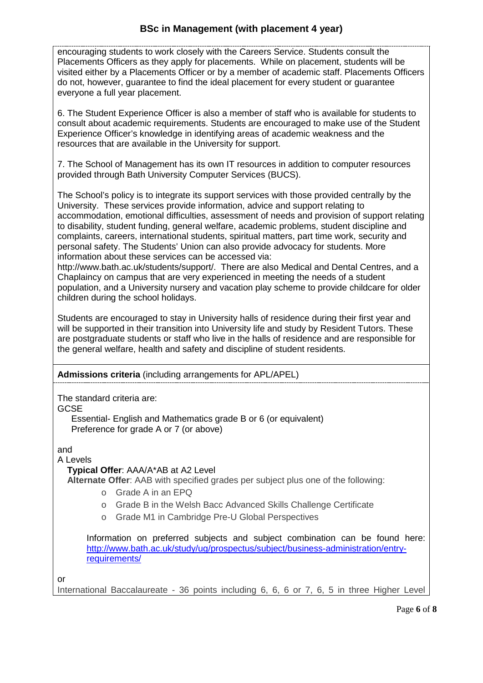encouraging students to work closely with the Careers Service. Students consult the Placements Officers as they apply for placements. While on placement, students will be visited either by a Placements Officer or by a member of academic staff. Placements Officers do not, however, guarantee to find the ideal placement for every student or guarantee everyone a full year placement.

6. The Student Experience Officer is also a member of staff who is available for students to consult about academic requirements. Students are encouraged to make use of the Student Experience Officer's knowledge in identifying areas of academic weakness and the resources that are available in the University for support.

7. The School of Management has its own IT resources in addition to computer resources provided through Bath University Computer Services (BUCS).

The School's policy is to integrate its support services with those provided centrally by the University. These services provide information, advice and support relating to accommodation, emotional difficulties, assessment of needs and provision of support relating to disability, student funding, general welfare, academic problems, student discipline and complaints, careers, international students, spiritual matters, part time work, security and personal safety. The Students' Union can also provide advocacy for students. More information about these services can be accessed via:

http://www.bath.ac.uk/students/support/. There are also Medical and Dental Centres, and a Chaplaincy on campus that are very experienced in meeting the needs of a student population, and a University nursery and vacation play scheme to provide childcare for older children during the school holidays.

Students are encouraged to stay in University halls of residence during their first year and will be supported in their transition into University life and study by Resident Tutors. These are postgraduate students or staff who live in the halls of residence and are responsible for the general welfare, health and safety and discipline of student residents.

## **Admissions criteria** (including arrangements for APL/APEL)

The standard criteria are:

GCSE

Essential- English and Mathematics grade B or 6 (or equivalent) Preference for grade A or 7 (or above)

and

A Levels

## **Typical Offer**: AAA/A\*AB at A2 Level

**Alternate Offer**: AAB with specified grades per subject plus one of the following:

- o Grade A in an EPQ
- o Grade B in the Welsh Bacc Advanced Skills Challenge Certificate
- o Grade M1 in Cambridge Pre-U Global Perspectives

Information on preferred subjects and subject combination can be found here: [http://www.bath.ac.uk/study/ug/prospectus/subject/business-administration/entry](http://www.bath.ac.uk/study/ug/prospectus/subject/business-administration/entry-requirements/)[requirements/](http://www.bath.ac.uk/study/ug/prospectus/subject/business-administration/entry-requirements/)

or

International Baccalaureate - 36 points including 6, 6, 6 or 7, 6, 5 in three Higher Level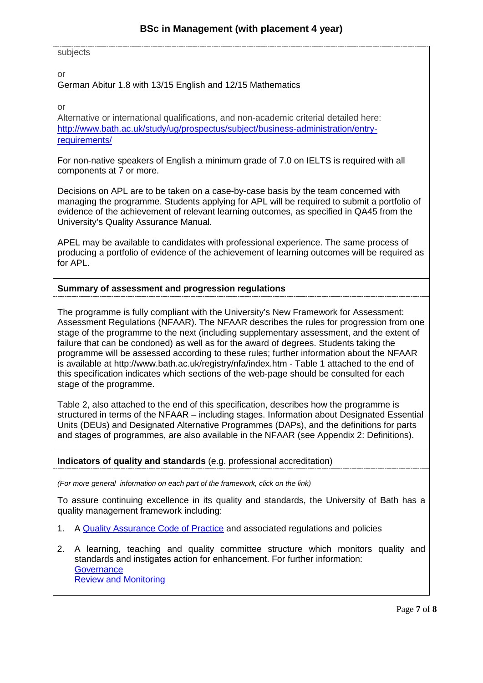#### subjects

or

German Abitur 1.8 with 13/15 English and 12/15 Mathematics

or

Alternative or international qualifications, and non-academic criterial detailed here: [http://www.bath.ac.uk/study/ug/prospectus/subject/business-administration/entry](http://www.bath.ac.uk/study/ug/prospectus/subject/business-administration/entry-requirements/)[requirements/](http://www.bath.ac.uk/study/ug/prospectus/subject/business-administration/entry-requirements/)

For non-native speakers of English a minimum grade of 7.0 on IELTS is required with all components at 7 or more.

Decisions on APL are to be taken on a case-by-case basis by the team concerned with managing the programme. Students applying for APL will be required to submit a portfolio of evidence of the achievement of relevant learning outcomes, as specified in QA45 from the University's Quality Assurance Manual.

APEL may be available to candidates with professional experience. The same process of producing a portfolio of evidence of the achievement of learning outcomes will be required as for APL.

#### **Summary of assessment and progression regulations**

The programme is fully compliant with the University's New Framework for Assessment: Assessment Regulations (NFAAR). The NFAAR describes the rules for progression from one stage of the programme to the next (including supplementary assessment, and the extent of failure that can be condoned) as well as for the award of degrees. Students taking the programme will be assessed according to these rules; further information about the NFAAR is available at http://www.bath.ac.uk/registry/nfa/index.htm - Table 1 attached to the end of this specification indicates which sections of the web-page should be consulted for each stage of the programme.

Table 2, also attached to the end of this specification, describes how the programme is structured in terms of the NFAAR – including stages. Information about Designated Essential Units (DEUs) and Designated Alternative Programmes (DAPs), and the definitions for parts and stages of programmes, are also available in the NFAAR (see Appendix 2: Definitions).

**Indicators of quality and standards** (e.g. professional accreditation)

*(For more general information on each part of the framework, click on the link)*

To assure continuing excellence in its quality and standards, the University of Bath has a quality management framework including:

- 1. A [Quality Assurance Code of Practice](http://www.bath.ac.uk/quality/cop/statements.html) and associated regulations and policies
- 2. A learning, teaching and quality committee structure which monitors quality and standards and instigates action for enhancement. For further information: **[Governance](http://www.bath.ac.uk/quality/documents/QA3-PS-Guid-QS-Gov.docx)** [Review and Monitoring](http://www.bath.ac.uk/quality/documents/QA3-PS-Guid-QS-RevMon.docx)